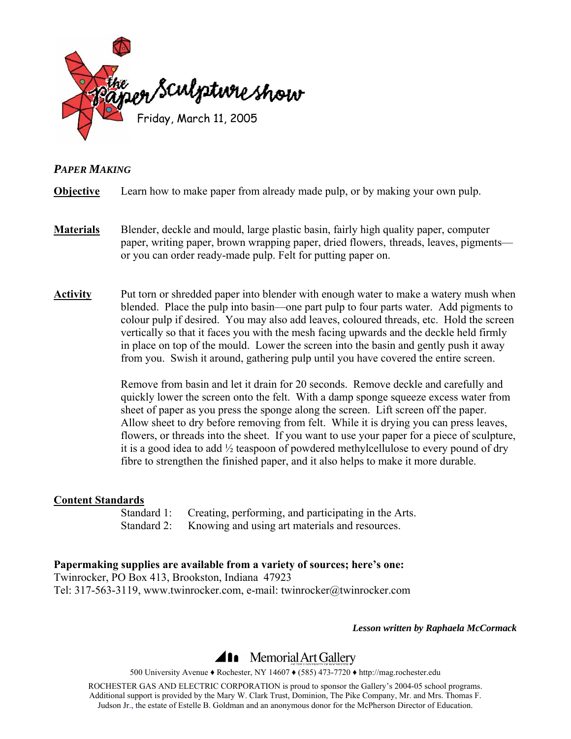

## *PAPER MAKING*

**Objective** Learn how to make paper from already made pulp, or by making your own pulp.

- **Materials** Blender, deckle and mould, large plastic basin, fairly high quality paper, computer paper, writing paper, brown wrapping paper, dried flowers, threads, leaves, pigments or you can order ready-made pulp. Felt for putting paper on.
- **Activity** Put torn or shredded paper into blender with enough water to make a watery mush when blended. Place the pulp into basin—one part pulp to four parts water. Add pigments to colour pulp if desired. You may also add leaves, coloured threads, etc. Hold the screen vertically so that it faces you with the mesh facing upwards and the deckle held firmly in place on top of the mould. Lower the screen into the basin and gently push it away from you. Swish it around, gathering pulp until you have covered the entire screen.

Remove from basin and let it drain for 20 seconds. Remove deckle and carefully and quickly lower the screen onto the felt. With a damp sponge squeeze excess water from sheet of paper as you press the sponge along the screen. Lift screen off the paper. Allow sheet to dry before removing from felt. While it is drying you can press leaves, flowers, or threads into the sheet. If you want to use your paper for a piece of sculpture, it is a good idea to add ½ teaspoon of powdered methylcellulose to every pound of dry fibre to strengthen the finished paper, and it also helps to make it more durable.

#### **Content Standards**

 Standard 1: Creating, performing, and participating in the Arts. Standard 2: Knowing and using art materials and resources.

## **Papermaking supplies are available from a variety of sources; here's one:**

Twinrocker, PO Box 413, Brookston, Indiana 47923 Tel: 317-563-3119, [www.twinrocker.com,](http://www.twinrocker.com/) e-mail: [twinrocker@twinrocker.com](mailto:twinrocker@twinrocher.com)

*Lesson written by Raphaela McCormack* 

## **411** Memorial Art Gallery

500 University Avenue ♦ Rochester, NY 14607 ♦ (585) 473-7720 ♦ http://mag.rochester.edu

ROCHESTER GAS AND ELECTRIC CORPORATION is proud to sponsor the Gallery's 2004-05 school programs. Additional support is provided by the Mary W. Clark Trust, Dominion, The Pike Company, Mr. and Mrs. Thomas F. Judson Jr., the estate of Estelle B. Goldman and an anonymous donor for the McPherson Director of Education.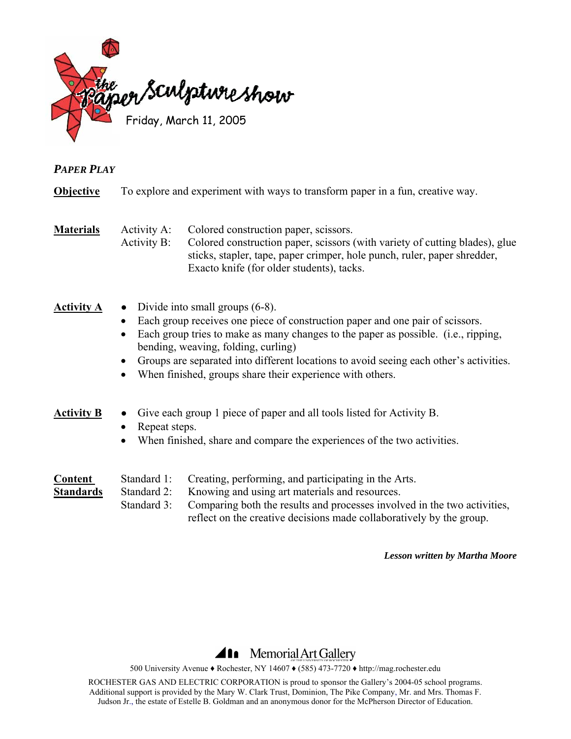

## *PAPER PLAY*

**Objective** To explore and experiment with ways to transform paper in a fun, creative way.

**Materials** Activity A: Colored construction paper, scissors.

Activity B: Colored construction paper, scissors (with variety of cutting blades), glue sticks, stapler, tape, paper crimper, hole punch, ruler, paper shredder, Exacto knife (for older students), tacks.

## **Activity A ●** Divide into small groups (6-8).

- Each group receives one piece of construction paper and one pair of scissors.
- Each group tries to make as many changes to the paper as possible. (i.e., ripping, bending, weaving, folding, curling)
- Groups are separated into different locations to avoid seeing each other's activities.
- When finished, groups share their experience with others.

### **Activity B ●** Give each group 1 piece of paper and all tools listed for Activity B.

- Repeat steps.
- When finished, share and compare the experiences of the two activities.

| Content          | Standard 1: | Creating, performing, and participating in the Arts.                     |  |
|------------------|-------------|--------------------------------------------------------------------------|--|
| <b>Standards</b> | Standard 2: | Knowing and using art materials and resources.                           |  |
|                  | Standard 3: | Comparing both the results and processes involved in the two activities, |  |
|                  |             | reflect on the creative decisions made collaboratively by the group.     |  |

#### *Lesson written by Martha Moore*

## Memorial Art Gallery

500 University Avenue ♦ Rochester, NY 14607 ♦ (585) 473-7720 ♦ http://mag.rochester.edu

ROCHESTER GAS AND ELECTRIC CORPORATION is proud to sponsor the Gallery's 2004-05 school programs. Additional support is provided by the Mary W. Clark Trust, Dominion, The Pike Company, Mr. and Mrs. Thomas F. Judson Jr., the estate of Estelle B. Goldman and an anonymous donor for the McPherson Director of Education.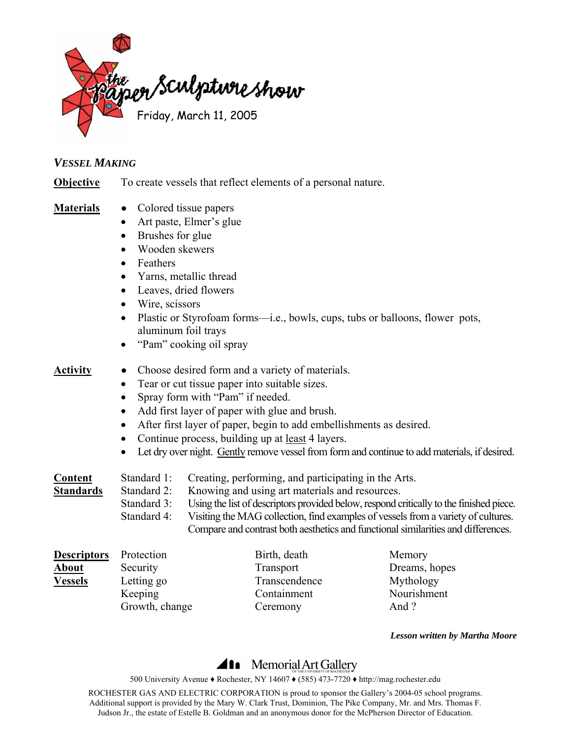

### *VESSEL MAKING*

**Objective** To create vessels that reflect elements of a personal nature.

- **Materials ●** Colored tissue papers
	- Art paste, Elmer's glue
	- Brushes for glue
	- Wooden skewers
	- Feathers
	- Yarns, metallic thread
	- Leaves, dried flowers
	- Wire, scissors
	- Plastic or Styrofoam forms—i.e., bowls, cups, tubs or balloons, flower pots, aluminum foil trays
	- "Pam" cooking oil spray

### **Activity ●** Choose desired form and a variety of materials.

- Tear or cut tissue paper into suitable sizes.
- Spray form with "Pam" if needed.
- Add first layer of paper with glue and brush.
- After first layer of paper, begin to add embellishments as desired.
- Continue process, building up at <u>least</u> 4 layers.
- Let dry over night. Gently remove vessel from form and continue to add materials, if desired.

| Content                  | Standard 1: | Creating, performing, and participating in the Arts.                                    |
|--------------------------|-------------|-----------------------------------------------------------------------------------------|
| Standards<br>Standard 2: |             | Knowing and using art materials and resources.                                          |
|                          | Standard 3: | Using the list of descriptors provided below, respond critically to the finished piece. |
|                          | Standard 4: | Visiting the MAG collection, find examples of vessels from a variety of cultures.       |
|                          |             | Compare and contrast both aesthetics and functional similarities and differences.       |

| <b>Descriptors</b> | Protection     | Birth, death  | Memory        |
|--------------------|----------------|---------------|---------------|
| <b>About</b>       | Security       | Transport     | Dreams, hopes |
| <b>Vessels</b>     | Letting go     | Transcendence | Mythology     |
|                    | Keeping        | Containment   | Nourishment   |
|                    | Growth, change | Ceremony      | And?          |

*Lesson written by Martha Moore* 

# **411** Memorial Art Gallery

500 University Avenue ♦ Rochester, NY 14607 ♦ (585) 473-7720 ♦ http://mag.rochester.edu

ROCHESTER GAS AND ELECTRIC CORPORATION is proud to sponsor the Gallery's 2004-05 school programs. Additional support is provided by the Mary W. Clark Trust, Dominion, The Pike Company, Mr. and Mrs. Thomas F. Judson Jr., the estate of Estelle B. Goldman and an anonymous donor for the McPherson Director of Education.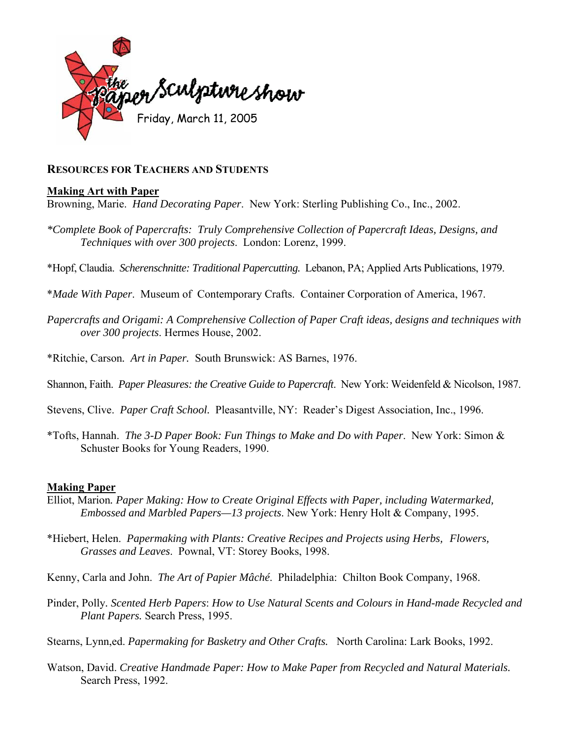

### **RESOURCES FOR TEACHERS AND STUDENTS**

#### **Making Art with Paper**

Browning, Marie. *Hand Decorating Paper*. New York: Sterling Publishing Co., Inc., 2002.

*\*[Complete Book of Papercrafts:](http://catalog.lib.rochester.edu/vwebv/holdingsInfo?sk=rcl&bibId=1968606) Truly Comprehensive Collection of Papercraft Ideas, Designs, and Techniques with over 300 projects*. London: Lorenz, 1999.

\*Hopf, Claudia. *[Scherenschnitte: Traditional Papercutting.](http://catalog.lib.rochester.edu/vwebv/holdingsInfo?sk=rcl&bibId=1650116)* Lebanon, PA; Applied Arts Publications, 1979.

\**[Made With Paper](http://catalog.lib.rochester.edu/vwebv/holdingsInfo?sk=rcl&bibId=574909)*. Museum of Contemporary Crafts. Container Corporation of America, 1967.

- *Papercrafts and Origami: A Comprehensive Collection of Paper Craft ideas, designs and techniques with over 300 projects*. Hermes House, 2002.
- \*Ritchie, Carson*. [Art in Paper.](http://catalog.lib.rochester.edu/vwebv/holdingsInfo?sk=rcl&bibId=157690)* South Brunswick: AS Barnes, 1976.
- Shannon, Faith. *[Paper Pleasures: the Creative Guide to Papercraft](http://catalog.lib.rochester.edu/vwebv/holdingsInfo?sk=rcl&bibId=840165)*. New York: Weidenfeld & Nicolson, 1987.
- Stevens, Clive. *Paper Craft School.* Pleasantville, NY: Reader's Digest Association, Inc., 1996.
- \*Tofts, Hannah. *[The 3-D Paper Book: Fun Things to Make and Do with Paper](http://catalog.lib.rochester.edu/vwebv/holdingsInfo?sk=rcl&bibId=2093685)*. New York: Simon & Schuster Books for Young Readers, 1990.

#### **Making Paper**

- Elliot, Marion*. Paper Making: How to Create Original Effects with Paper, including Watermarked, Embossed and Marbled Papers—13 projects*. New York: Henry Holt & Company, 1995.
- \*Hiebert, Helen. *[Papermaking with Plants:](http://catalog.lib.rochester.edu/vwebv/holdingsInfo?sk=rcl&bibId=1968163) Creative Recipes and Projects using Herbs, Flowers, Grasses and Leaves*. Pownal, VT: Storey Books, 1998.

Kenny, Carla and John. *The Art of Papier Mâché*. Philadelphia: Chilton Book Company, 1968.

Pinder, Polly*. Scented Herb Papers*: *How to Use Natural Scents and Colours in Hand-made Recycled and Plant Papers.* Search Press, 1995.

Stearns, Lynn,ed. *Papermaking for Basketry and Other Crafts.* North Carolina: Lark Books, 1992.

Watson, David. *Creative Handmade Paper: How to Make Paper from Recycled and Natural Materials.*  Search Press, 1992.